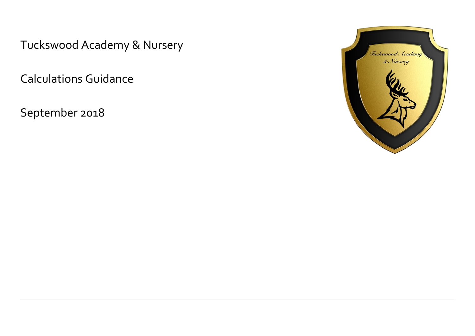Tuckswood Academy & Nursery

Calculations Guidance

September 2018

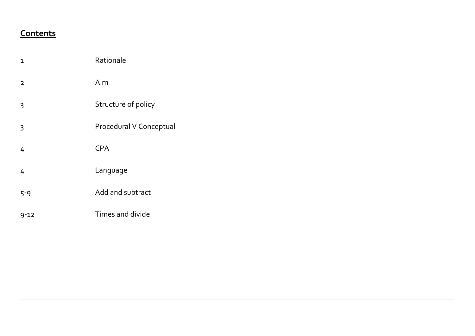# **Contents**

| 1              | Rationale               |
|----------------|-------------------------|
| $\overline{2}$ | Aim                     |
| 3              | Structure of policy     |
| 3              | Procedural V Conceptual |
| 4              | <b>CPA</b>              |
| 4              | Language                |
| $5 - 9$        | Add and subtract        |
| $9 - 12$       | Times and divide        |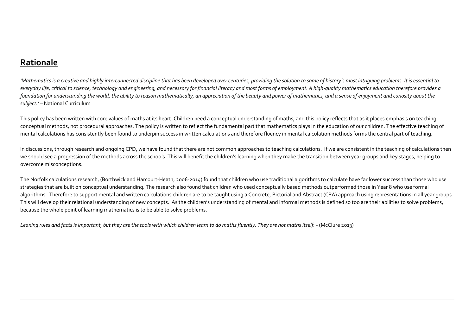## **Rationale**

'Mathematics is a creative and highly interconnected discipline that has been developed over centuries, providing the solution to some of history's most intriguing problems. It is essential to everyday life, critical to science, technology and engineering, and necessary for financial literacy and most forms of employment. A high-quality mathematics education therefore provides a foundation for understanding the world, the ability to reason mathematically, an appreciation of the beauty and power of mathematics, and a sense of enjoyment and curiosity about the *subject.'* – National Curriculum

This policy has been written with core values of maths at its heart. Children need a conceptual understanding of maths, and this policy reflects that as it places emphasis on teaching conceptual methods, not procedural approaches. The policy is written to reflect the fundamental part that mathematics plays in the education of our children. The effective teaching of mental calculations has consistently been found to underpin success in written calculations and therefore fluency in mental calculation methods forms the central part of teaching.

In discussions, through research and ongoing CPD, we have found that there are not common approaches to teaching calculations. If we are consistent in the teaching of calculations then we should see a progression of the methods across the schools. This will benefit the children's learning when they make the transition between year groups and key stages, helping to overcome misconceptions.

The Norfolk calculations research, (Borthwick and Harcourt-Heath, 2006-2014) found that children who use traditional algorithms to calculate have far lower success than those who use strategies that are built on conceptual understanding. The research also found that children who used conceptually based methods outperformed those in Year 8 who use formal algorithms. Therefore to support mental and written calculations children are to be taught using a Concrete, Pictorial and Abstract (CPA) approach using representations in all year groups. This will develop their relational understanding of new concepts. As the children's understanding of mental and informal methods is defined so too are their abilities to solve problems, because the whole point of learning mathematics is to be able to solve problems.

Leaning rules and facts is important, but they are the tools with which children learn to do maths fluently. They are not maths itself. - (McClure 2013)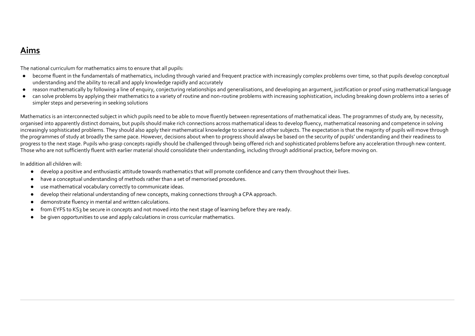# **Aims**

The national curriculum for mathematics aims to ensure that all pupils:

- become fluent in the fundamentals of mathematics, including through varied and frequent practice with increasingly complex problems over time, so that pupils develop conceptual understanding and the ability to recall and apply knowledge rapidly and accurately
- reason mathematically by following a line of enguiry, conjecturing relationships and generalisations, and developing an argument, justification or proof using mathematical language
- can solve problems by applying their mathematics to a variety of routine and non-routine problems with increasing sophistication, including breaking down problems into a series of simpler steps and persevering in seeking solutions

Mathematics is an interconnected subject in which pupils need to be able to move fluently between representations of mathematical ideas. The programmes of study are, by necessity, organised into apparently distinct domains, but pupils should make rich connections across mathematical ideas to develop fluency, mathematical reasoning and competence in solving increasingly sophisticated problems. They should also apply their mathematical knowledge to science and other subjects. The expectation is that the majority of pupils will move through the programmes of study at broadly the same pace. However, decisions about when to progress should always be based on the security of pupils' understanding and their readiness to progress to the next stage. Pupils who grasp concepts rapidly should be challenged through being offered rich and sophisticated problems before any acceleration through new content. Those who are not sufficiently fluent with earlier material should consolidate their understanding, including through additional practice, before moving on.

#### In addition all children will:

- develop a positive and enthusiastic attitude towards mathematics that will promote confidence and carry them throughout their lives.
- have a conceptual understanding of methods rather than a set of memorised procedures.
- use mathematical vocabulary correctly to communicate ideas.
- develop their relational understanding of new concepts, making connections through a CPA approach.
- demonstrate fluency in mental and written calculations.
- from EYFS to KS3 be secure in concepts and not moved into the next stage of learning before they are ready.
- be given opportunities to use and apply calculations in cross curricular mathematics.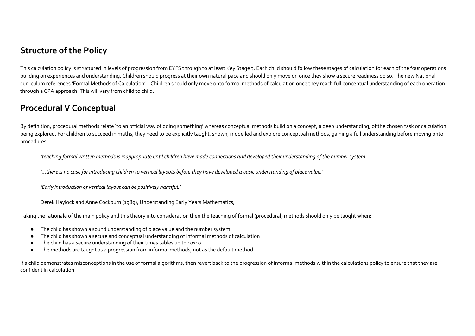# **Structure of the Policy**

This calculation policy is structured in levels of progression from EYFS through to at least Key Stage 3. Each child should follow these stages of calculation for each of the four operations building on experiences and understanding. Children should progress at their own natural pace and should only move on once they show a secure readiness do so. The new National curriculum references 'Formal Methods of Calculation' – Children should only move onto formal methods of calculation once they reach full conceptual understanding of each operation through a CPA approach. This will vary from child to child.

### **Procedural V Conceptual**

By definition, procedural methods relate 'to an official way of doing something' whereas conceptual methods build on a concept, a deep understanding, of the chosen task or calculation being explored. For children to succeed in maths, they need to be explicitly taught, shown, modelled and explore conceptual methods, gaining a full understanding before moving onto procedures.

'teaching formal written methods is inappropriate until children have made connections and developed their understanding of the number system'

'...there is no case for introducing children to vertical layouts before they have developed a basic understanding of place value.'

*'Early introduction of vertical layout can be positively harmful.'*

Derek Haylock and Anne Cockburn (1989), Understanding Early Years Mathematics,

Taking the rationale of the main policy and this theory into consideration then the teaching of formal (procedural) methods should only be taught when:

- The child has shown a sound understanding of place value and the number system.
- The child has shown a secure and conceptual understanding of informal methods of calculation
- The child has a secure understanding of their times tables up to 10x10.
- The methods are taught as a progression from informal methods, not as the default method.

If a child demonstrates misconceptions in the use of formal algorithms, then revert back to the progression of informal methods within the calculations policy to ensure that they are confident in calculation.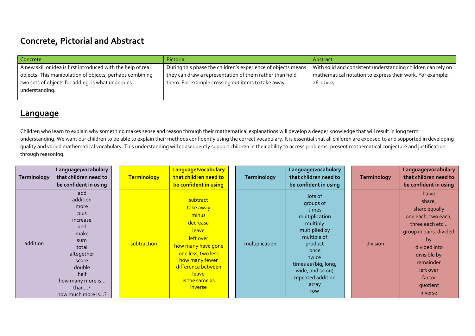# **Concrete, Pictorial and Abstract**

| Concrete                                                                                                                  | Pictorial                                                                                                               | Abstract                                                                                                                  |
|---------------------------------------------------------------------------------------------------------------------------|-------------------------------------------------------------------------------------------------------------------------|---------------------------------------------------------------------------------------------------------------------------|
| A new skill or idea is first introduced with the help of real<br>objects. This manipulation of objects, perhaps combining | During this phase the children's experience of objects means<br>they can draw a representation of them rather than hold | With solid and consistent understanding children can rely on<br>mathematical notation to express their work. For example: |
| two sets of objects for adding, is what underpins                                                                         | them. For example crossing out items to take away.                                                                      | $26 - 12 = 14$                                                                                                            |
| understanding.                                                                                                            |                                                                                                                         |                                                                                                                           |

### **Language**

Children who learn to explain why something makes sense and reason through their mathematical explanations will develop a deeper knowledge that will result in long term understanding. We want our children to be able to explain their methods confidently using the correct vocabulary. It is essential that all children are exposed to and supported in developing quality and varied mathematical vocabulary. This understanding will consequently support children in their ability to access problems, present mathematical conjecture and justification through reasoning.

| <b>Terminology</b> | Language/vocabulary<br>that children need to<br>be confident in using                                                                                                 | <b>Terminology</b> | Language/vocabulary<br>that children need to<br>be confident in using                                                                                                                                    | <b>Terminology</b> | Language/vocabulary<br>that children need to<br>be confident in using                                                                                                                                    | <b>Terminology</b> | Language/vocabulary<br>that children need to<br>be confident in using                                                                                                                                 |
|--------------------|-----------------------------------------------------------------------------------------------------------------------------------------------------------------------|--------------------|----------------------------------------------------------------------------------------------------------------------------------------------------------------------------------------------------------|--------------------|----------------------------------------------------------------------------------------------------------------------------------------------------------------------------------------------------------|--------------------|-------------------------------------------------------------------------------------------------------------------------------------------------------------------------------------------------------|
| addition           | add<br>addition<br>more<br>plus<br>increase<br>and<br>make<br>sum<br>total<br>altogether<br>score<br>double<br>half<br>how many more is<br>than?<br>how much more is? | subtraction        | subtract<br>take away<br>minus<br>decrease<br>leave<br>left over<br>how many have gone<br>one less, two less<br>how many fewer<br>difference between<br>leave<br><b>is the same as</b><br><i>inverse</i> | multiplication     | lots of<br>groups of<br>times<br>multiplication<br>multiply<br>multiplied by<br>multiple of<br>product<br>once<br>twice<br>times as (big, long,<br>wide, and so on)<br>repeated addition<br>array<br>row | division           | halve<br>share,<br>share equally<br>one each, two each,<br>three each etc<br>group in pairs, divided<br>by<br>divided into<br>divisible by<br>remainder<br>left over<br>factor<br>quotient<br>inverse |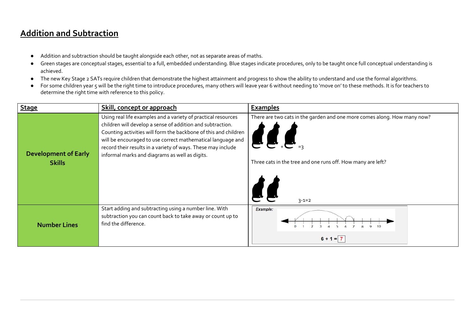## **Addition and Subtraction**

- Addition and subtraction should be taught alongside each other, not as separate areas of maths.
- Green stages are conceptual stages, essential to a full, embedded understanding. Blue stages indicate procedures, only to be taught once full conceptual understanding is achieved.
- The new Key Stage 2 SATs require children that demonstrate the highest attainment and progress to show the ability to understand and use the formal algorithms.
- For some children year 5 will be the right time to introduce procedures, many others will leave year 6 without needing to 'move on' to these methods. It is for teachers to determine the right time with reference to this policy.

| <b>Stage</b>                                 | <b>Skill, concept or approach</b>                                                                                                                                                                                                                                                                                                                                               | <b>Examples</b>                                                                                                                                                      |
|----------------------------------------------|---------------------------------------------------------------------------------------------------------------------------------------------------------------------------------------------------------------------------------------------------------------------------------------------------------------------------------------------------------------------------------|----------------------------------------------------------------------------------------------------------------------------------------------------------------------|
| <b>Development of Early</b><br><b>Skills</b> | Using real life examples and a variety of practical resources<br>children will develop a sense of addition and subtraction.<br>Counting activities will form the backbone of this and children<br>will be encouraged to use correct mathematical language and<br>record their results in a variety of ways. These may include<br>informal marks and diagrams as well as digits. | There are two cats in the garden and one more comes along. How many now?<br>TTT<br>Three cats in the tree and one runs off. How many are left?<br>TI.<br>$3 - 1 = 2$ |
| <b>Number Lines</b>                          | Start adding and subtracting using a number line. With<br>subtraction you can count back to take away or count up to<br>find the difference.                                                                                                                                                                                                                                    | Example:<br>$6 + 1 = 7$                                                                                                                                              |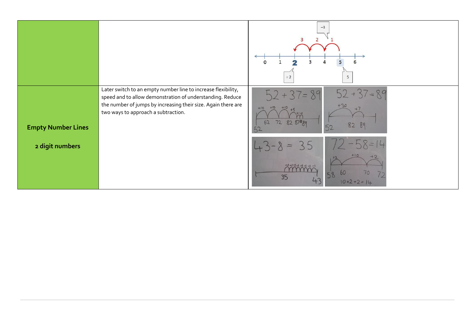|                           |                                                                                                                                                                                                                                    | $-3$<br>$\mathbf{B}$<br>3<br>O<br>$= 2$<br>5                                                          |
|---------------------------|------------------------------------------------------------------------------------------------------------------------------------------------------------------------------------------------------------------------------------|-------------------------------------------------------------------------------------------------------|
| <b>Empty Number Lines</b> | Later switch to an empty number line to increase flexibility,<br>speed and to allow demonstration of understanding. Reduce<br>the number of jumps by increasing their size. Again there are<br>two ways to approach a subtraction. | $1 = 89$<br>$= 89$<br>$+30$<br>$+10$<br>$+10$<br>$+10$<br>82 8788.89<br>62<br>72<br>82 89<br>52<br>52 |
| 2 digit numbers           |                                                                                                                                                                                                                                    | 60<br>35<br>$10 + 2 + 2 = 14$                                                                         |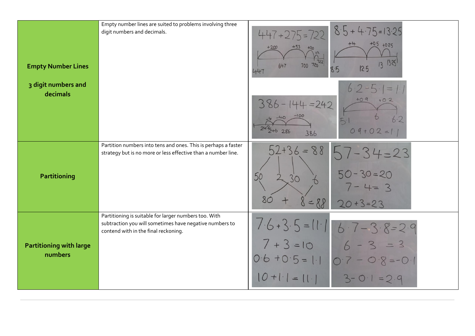| <b>Empty Number Lines</b>                 | Empty number lines are suited to problems involving three<br>digit numbers and decimals.                                                                 | $8.5 + 4.75 = 13.25$<br>$447 + 275 = 722$<br>$+0.5$ +0.25<br>$+4$<br>+200<br>$+20$<br>722<br>13 1325<br>$700 - 720$<br>647<br>12.5<br>8.5<br>447 |
|-------------------------------------------|----------------------------------------------------------------------------------------------------------------------------------------------------------|--------------------------------------------------------------------------------------------------------------------------------------------------|
| 3 digit numbers and<br>decimals           |                                                                                                                                                          | $+0.9$<br>$+0.2$<br>386<br>$144 = 242$<br>$-100$<br>$-40$<br>$242 + 6$<br>$0.9 + 0.2 =$<br>286<br>386                                            |
| Partitioning                              | Partition numbers into tens and ones. This is perhaps a faster<br>strategy but is no more or less effective than a number line.                          | $52+36=88$<br>$30 = 20$<br>50<br>30<br>80<br>$+$<br>$=88$<br>$20 + 3 = 23$                                                                       |
| <b>Partitioning with large</b><br>numbers | Partitioning is suitable for larger numbers too. With<br>subtraction you will sometimes have negative numbers to<br>contend with in the final reckoning. | $7.6 + 3.5 = 11.$<br>$7 + 3 = 10$<br>$0.5 =  . $<br>$ O+ $<br>$=$ $\left  \right $ .                                                             |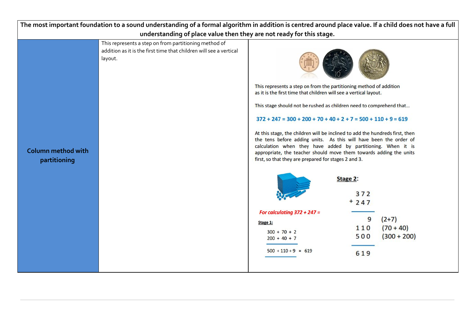|                                           |                                                                                                                                        | The most important foundation to a sound understanding of a formal algorithm in addition is centred around place value. If a child does not have a full                                                                                                                                                                                                                                                                                                                                                                                                                                                                                                                                                                                                                                                                                          |
|-------------------------------------------|----------------------------------------------------------------------------------------------------------------------------------------|--------------------------------------------------------------------------------------------------------------------------------------------------------------------------------------------------------------------------------------------------------------------------------------------------------------------------------------------------------------------------------------------------------------------------------------------------------------------------------------------------------------------------------------------------------------------------------------------------------------------------------------------------------------------------------------------------------------------------------------------------------------------------------------------------------------------------------------------------|
|                                           | understanding of place value then they are not ready for this stage.                                                                   |                                                                                                                                                                                                                                                                                                                                                                                                                                                                                                                                                                                                                                                                                                                                                                                                                                                  |
| <b>Column method with</b><br>partitioning | This represents a step on from partitioning method of<br>addition as it is the first time that children will see a vertical<br>layout. | This represents a step on from the partitioning method of addition<br>as it is the first time that children will see a vertical layout.<br>This stage should not be rushed as children need to comprehend that<br>$372 + 247 = 300 + 200 + 70 + 40 + 2 + 7 = 500 + 110 + 9 = 619$<br>At this stage, the children will be inclined to add the hundreds first, then<br>the tens before adding units. As this will have been the order of<br>calculation when they have added by partitioning. When it is<br>appropriate, the teacher should move them towards adding the units<br>first, so that they are prepared for stages 2 and 3.<br>Stage 2:<br>372<br>$+247$<br>For calculating $372 + 247 =$<br>9<br>$(2+7)$<br>Stage 1:<br>$(70 + 40)$<br>110<br>$300 + 70 + 2$<br>$(300 + 200)$<br>500<br>$200 + 40 + 7$<br>$500 + 110 + 9 = 619$<br>619 |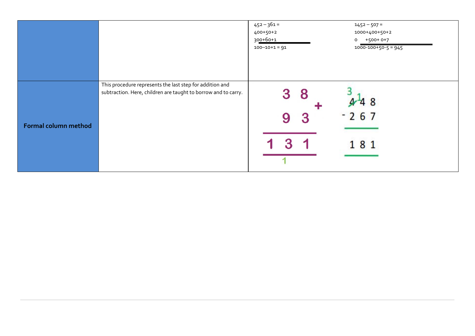|                      |                                                                                                                            | $452 - 361 =$<br>400+50+2<br>300+60+1<br>$100 - 10 + 1 = 91$ |   | $1452 - 507 =$<br>1000+400+50+2<br>+500+ 0+7<br>0<br>$1000 - 100 + 50 - 5 = 945$ |  |
|----------------------|----------------------------------------------------------------------------------------------------------------------------|--------------------------------------------------------------|---|----------------------------------------------------------------------------------|--|
| Formal column method | This procedure represents the last step for addition and<br>subtraction. Here, children are taught to borrow and to carry. |                                                              | 8 | $-267$<br>181                                                                    |  |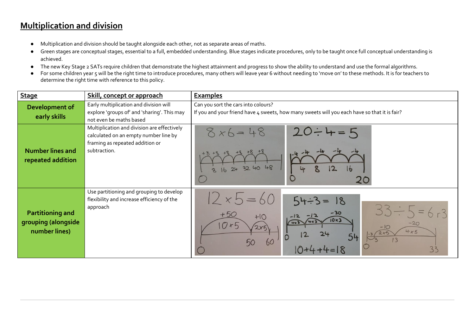## **Multiplication and division**

- Multiplication and division should be taught alongside each other, not as separate areas of maths.
- Green stages are conceptual stages, essential to a full, embedded understanding. Blue stages indicate procedures, only to be taught once full conceptual understanding is achieved.
- The new Key Stage 2 SATs require children that demonstrate the highest attainment and progress to show the ability to understand and use the formal algorithms.
- For some children year 5 will be the right time to introduce procedures, many others will leave year 6 without needing to 'move on' to these methods. It is for teachers to determine the right time with reference to this policy.

| <b>Stage</b>                                                    | Skill, concept or approach                                                                                                              | <b>Examples</b>                                                                                                                     |
|-----------------------------------------------------------------|-----------------------------------------------------------------------------------------------------------------------------------------|-------------------------------------------------------------------------------------------------------------------------------------|
| Development of<br>early skills                                  | Early multiplication and division will<br>explore 'groups of' and 'sharing'. This may<br>not even be maths based                        | Can you sort the cars into colours?<br>If you and your friend have 4 sweets, how many sweets will you each have so that it is fair? |
| <b>Number lines and</b><br>repeated addition                    | Multiplication and division are effectively<br>calculated on an empty number line by<br>framing as repeated addition or<br>subtraction. | $20 - 4$<br>$8x6 = 48$<br>$= 5$<br>16 24 32 40 48                                                                                   |
| <b>Partitioning and</b><br>grouping (alongside<br>number lines) | Use partitioning and grouping to develop<br>flexibility and increase efficiency of the<br>approach                                      | $x - 1$<br>$54 - 3$<br>$33 -$<br>$+50$<br>$+10$<br>10x3<br>$O*5$<br>2x5<br>4x5<br>5 <sup>1</sup><br>33                              |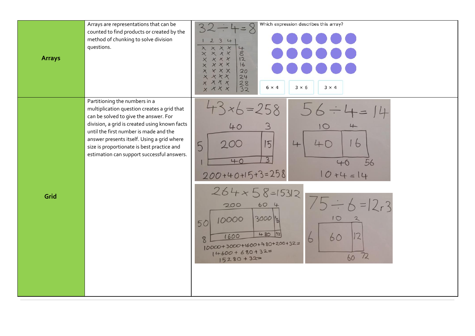| <b>Arrays</b> | Arrays are representations that can be<br>counted to find products or created by the<br>method of chunking to solve division<br>questions.                                                                                                                                                                                                                 | Which expression describes this array?<br>$32 - 4 = 8$<br>3 4<br>$rac{4}{8}$<br>$\times$<br>$\times$<br>$\times$<br>x x x<br>x x<br>16<br>$X$ X<br>20<br>X X<br>24<br>X X<br>$38$<br>$32$<br>X X X<br>$3 \times 4$<br>$6 \times 4$<br>$3 \times 6$<br>$X$ $X$ $X$ $X$                                                                                           |
|---------------|------------------------------------------------------------------------------------------------------------------------------------------------------------------------------------------------------------------------------------------------------------------------------------------------------------------------------------------------------------|-----------------------------------------------------------------------------------------------------------------------------------------------------------------------------------------------------------------------------------------------------------------------------------------------------------------------------------------------------------------|
| Grid          | Partitioning the numbers in a<br>multiplication question creates a grid that<br>can be solved to give the answer. For<br>division, a grid is created using known facts<br>until the first number is made and the<br>answer presents itself. Using a grid where<br>size is proportionate is best practice and<br>estimation can support successful answers. | 258<br>3<br>40<br>$+$<br>$\circ$<br>15<br>200<br>4<br>40<br>16<br>5<br>$\overline{3}$<br>40<br>56<br>46<br>$200+40+15+3=258$<br>$10+4=14$<br>$264 \times 58 = 15312$<br>60 4<br>200<br>$\equiv$<br>3000 3<br>10<br>10000<br>50<br>480<br>12<br>60<br>1600<br>6<br>$10000 + 3000 + 1600 + 480 + 200 + 32 =$<br>$14600 + 680 + 32=$<br>72<br>60<br>$15280 + 32 =$ |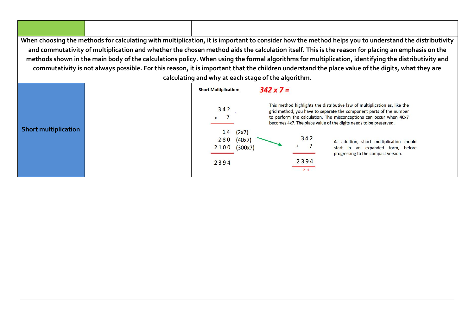**When choosing the methods for calculating with multiplication, it is important to consider how the method helps you to understand the distributivity and commutativity of multiplication and whether the chosen method aids the calculation itself. This is the reason for placing an emphasis on the methods shown in the main body of the calculations policy. When using the formal algorithms for multiplication, identifying the distributivity and commutativity is not always possible. For this reason, it is important that the children understand the place value of the digits, what they are calculating and why at each stage of the algorithm.**

|                      | <b>Short Multiplication:</b>                     |                            | $342 \times 7 =$ |                                            |                                                                                                                                                                                                                                                                                                                                                                                                                      |
|----------------------|--------------------------------------------------|----------------------------|------------------|--------------------------------------------|----------------------------------------------------------------------------------------------------------------------------------------------------------------------------------------------------------------------------------------------------------------------------------------------------------------------------------------------------------------------------------------------------------------------|
| Short multiplication | 342<br>$\mathbf{x}$<br>14<br>280<br>2100<br>2394 | (2x7)<br>(40x7)<br>(300x7) |                  | 342<br>$\times$<br>2394<br>$\overline{21}$ | This method highlights the distributive law of multiplication as, like the<br>grid method, you have to separate the component parts of the number<br>to perform the calculation. The misconceptions can occur when 40x7<br>becomes 4x7. The place value of the digits needs to be preserved.<br>As addition, short multiplication should<br>start in an expanded form, before<br>progressing to the compact version. |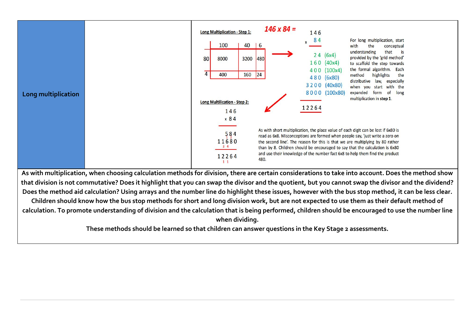

**As with multiplication, when choosing calculation methods for division, there are certain considerations to take into account. Does the method show that division is not commutative? Does it highlight that you can swap the divisor and the quotient, but you cannot swap the divisor and the dividend? Does the method aid calculation? Using arrays and the number line do highlight these issues, however with the bus stop method, it can be less clear.**

**Children should know how the bus stop methods for short and long division work, but are not expected to use them as their default method of calculation. To promote understanding of division and the calculation that is being performed, children should be encouraged to use the number line when dividing.**

**These methods should be learned so that children can answer questions in the Key Stage 2 assessments.**